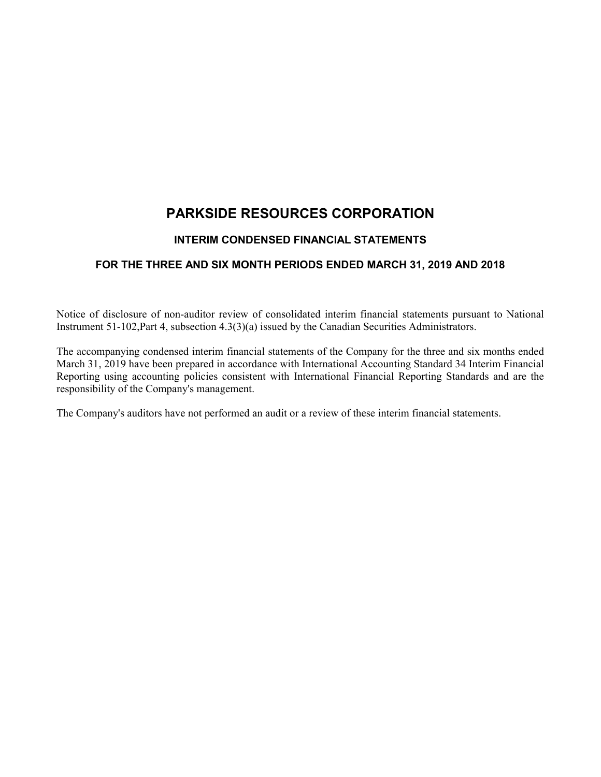# **PARKSIDE RESOURCES CORPORATION**

## **INTERIM CONDENSED FINANCIAL STATEMENTS**

## **FOR THE THREE AND SIX MONTH PERIODS ENDED MARCH 31, 2019 AND 2018**

Notice of disclosure of non-auditor review of consolidated interim financial statements pursuant to National Instrument 51-102,Part 4, subsection 4.3(3)(a) issued by the Canadian Securities Administrators.

The accompanying condensed interim financial statements of the Company for the three and six months ended March 31, 2019 have been prepared in accordance with International Accounting Standard 34 Interim Financial Reporting using accounting policies consistent with International Financial Reporting Standards and are the responsibility of the Company's management.

The Company's auditors have not performed an audit or a review of these interim financial statements.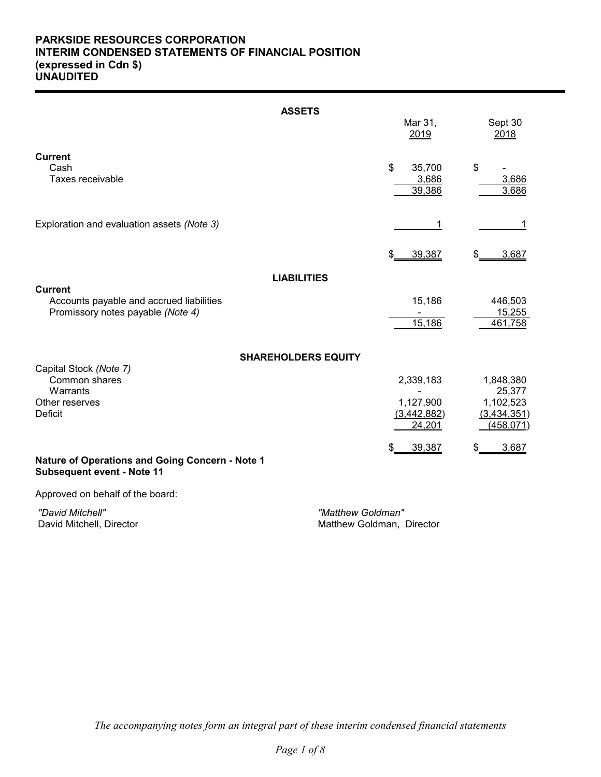## **PARKSIDE RESOURCES CORPORATION INTERIM CONDENSED STATEMENTS OF FINANCIAL POSITION (expressed in Cdn \$) UNAUDITED**

|                                                                                                 | <b>ASSETS</b>                                  |                                                 |                                                               |
|-------------------------------------------------------------------------------------------------|------------------------------------------------|-------------------------------------------------|---------------------------------------------------------------|
|                                                                                                 |                                                | Mar 31,<br>2019                                 | Sept 30<br>2018                                               |
| <b>Current</b><br>Cash<br>Taxes receivable                                                      |                                                | \$<br>35,700<br>3,686<br>39,386                 | \$<br>3,686<br>3,686                                          |
| Exploration and evaluation assets (Note 3)                                                      |                                                | 1                                               | 1                                                             |
|                                                                                                 |                                                | 39,387<br>\$                                    | 3,687                                                         |
|                                                                                                 | <b>LIABILITIES</b>                             |                                                 |                                                               |
| <b>Current</b><br>Accounts payable and accrued liabilities<br>Promissory notes payable (Note 4) |                                                | 15,186<br>15,186                                | 446,503<br>15,255<br>461,758                                  |
|                                                                                                 | <b>SHAREHOLDERS EQUITY</b>                     |                                                 |                                                               |
| Capital Stock (Note 7)<br>Common shares<br>Warrants<br>Other reserves<br><b>Deficit</b>         |                                                | 2,339,183<br>1,127,900<br>(3,442,882)<br>24,201 | 1,848,380<br>25,377<br>1,102,523<br>(3,434,351)<br>(458, 071) |
| Nature of Operations and Going Concern - Note 1<br>Subsequent event - Note 11                   |                                                | 39,387<br>S                                     | 3,687<br>\$                                                   |
| Approved on behalf of the board:                                                                |                                                |                                                 |                                                               |
| "David Mitchell"<br>David Mitchell, Director                                                    | "Matthew Goldman"<br>Matthew Goldman, Director |                                                 |                                                               |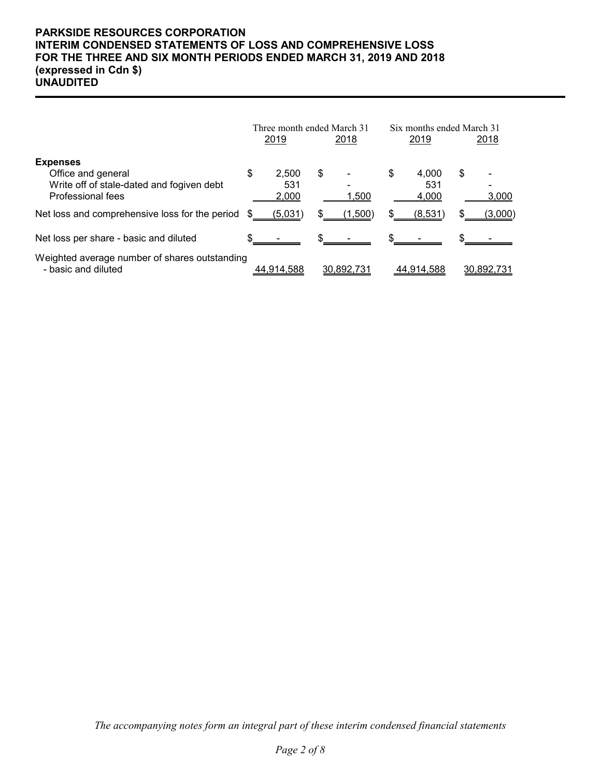## **PARKSIDE RESOURCES CORPORATION INTERIM CONDENSED STATEMENTS OF LOSS AND COMPREHENSIVE LOSS FOR THE THREE AND SIX MONTH PERIODS ENDED MARCH 31, 2019 AND 2018 (expressed in Cdn \$) UNAUDITED**

|                                                                      | Three month ended March 31 |              |    |               | Six months ended March 31 |              |   |            |
|----------------------------------------------------------------------|----------------------------|--------------|----|---------------|---------------------------|--------------|---|------------|
|                                                                      |                            | 2019         |    | <u> 2018 </u> |                           | 2019         |   | 2018       |
| <b>Expenses</b>                                                      |                            |              |    |               |                           |              |   |            |
| Office and general                                                   | \$                         | 2.500<br>531 | \$ |               | \$                        | 4.000<br>531 | S |            |
| Write off of stale-dated and fogiven debt<br>Professional fees       |                            | 2,000        |    | 1,500         |                           | 4,000        |   | 3,000      |
| Net loss and comprehensive loss for the period                       |                            | (5,031)      |    | (1,500)       |                           | (8,531)      |   | (3,000)    |
| Net loss per share - basic and diluted                               |                            |              | \$ |               |                           |              |   |            |
| Weighted average number of shares outstanding<br>- basic and diluted |                            | 44.914.588   |    | 30.892.731    |                           | 44.914.588   |   | 30.892.731 |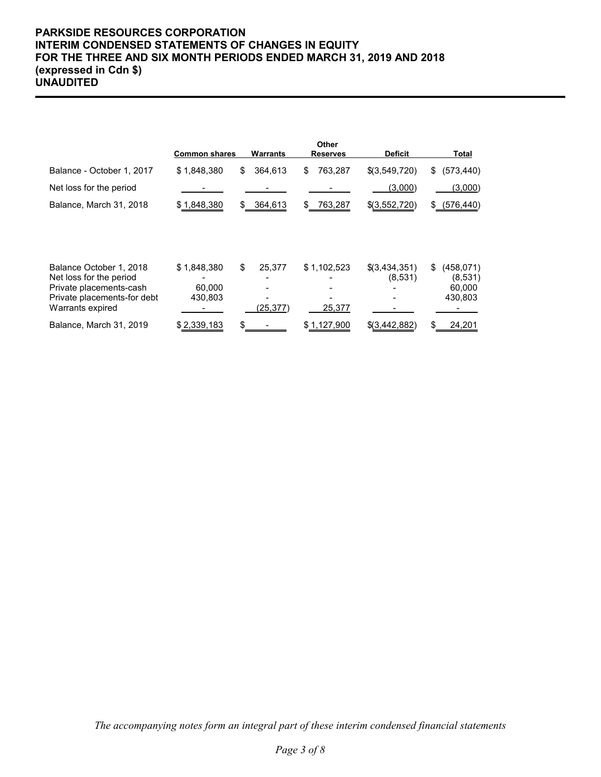## **PARKSIDE RESOURCES CORPORATION INTERIM CONDENSED STATEMENTS OF CHANGES IN EQUITY FOR THE THREE AND SIX MONTH PERIODS ENDED MARCH 31, 2019 AND 2018 (expressed in Cdn \$) UNAUDITED**

|                                                                               | <b>Common shares</b>   | <b>Warrants</b> | Other<br><b>Reserves</b> | <b>Deficit</b>           | <b>Total</b>                          |
|-------------------------------------------------------------------------------|------------------------|-----------------|--------------------------|--------------------------|---------------------------------------|
| Balance - October 1, 2017                                                     | \$1,848,380            | \$<br>364,613   | 763,287<br>\$            | \$(3,549,720)            | (573, 440)<br>\$                      |
| Net loss for the period                                                       |                        |                 |                          | (3,000)                  | (3,000)                               |
| Balance, March 31, 2018                                                       | \$1,848,380            | 364,613<br>S.   | 763,287<br>\$            | \$(3,552,720)            | \$ (576, 440)                         |
| Balance October 1, 2018<br>Net loss for the period<br>Private placements-cash | \$1,848,380<br>60,000  | \$<br>25,377    | \$1,102,523              | \$(3,434,351)<br>(8,531) | (458, 071)<br>\$<br>(8,531)<br>60,000 |
| Private placements-for debt<br>Warrants expired<br>Balance, March 31, 2019    | 430,803<br>\$2,339,183 | (25, 377)       | 25,377<br>\$1,127,900    | \$(3,442,882)            | 430,803<br>24,201<br>\$.              |
|                                                                               |                        |                 |                          |                          |                                       |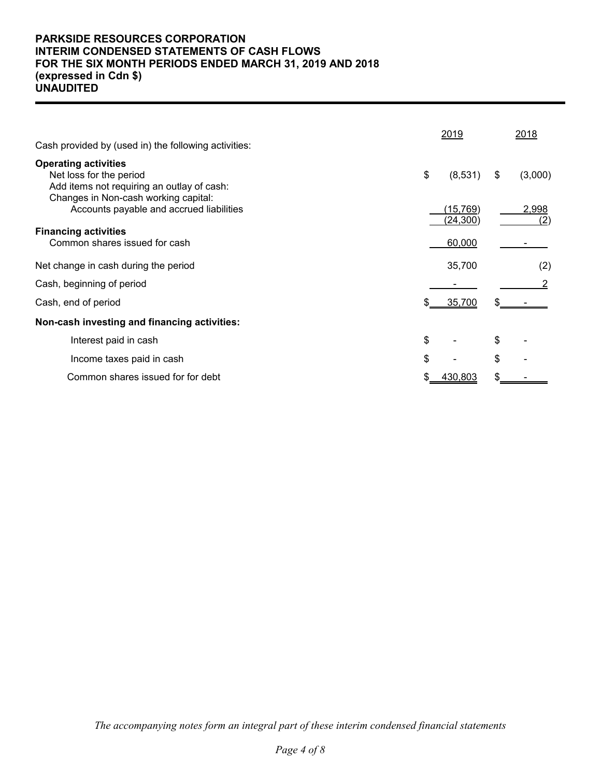## **PARKSIDE RESOURCES CORPORATION INTERIM CONDENSED STATEMENTS OF CASH FLOWS FOR THE SIX MONTH PERIODS ENDED MARCH 31, 2019 AND 2018 (expressed in Cdn \$) UNAUDITED**

|                                                                                                      | 2019                   | 2018          |
|------------------------------------------------------------------------------------------------------|------------------------|---------------|
| Cash provided by (used in) the following activities:                                                 |                        |               |
| <b>Operating activities</b><br>Net loss for the period<br>Add items not requiring an outlay of cash: | \$<br>(8,531)          | (3,000)<br>\$ |
| Changes in Non-cash working capital:<br>Accounts payable and accrued liabilities                     | (15, 769)<br>(24, 300) | 2,998<br>(2)  |
| <b>Financing activities</b><br>Common shares issued for cash                                         | 60,000                 |               |
| Net change in cash during the period                                                                 | 35,700                 | (2)           |
| Cash, beginning of period                                                                            |                        |               |
| Cash, end of period                                                                                  | 35,700                 |               |
| Non-cash investing and financing activities:                                                         |                        |               |
| Interest paid in cash                                                                                | \$                     | \$            |
| Income taxes paid in cash                                                                            | \$                     | \$            |
| Common shares issued for for debt                                                                    | 430,803                |               |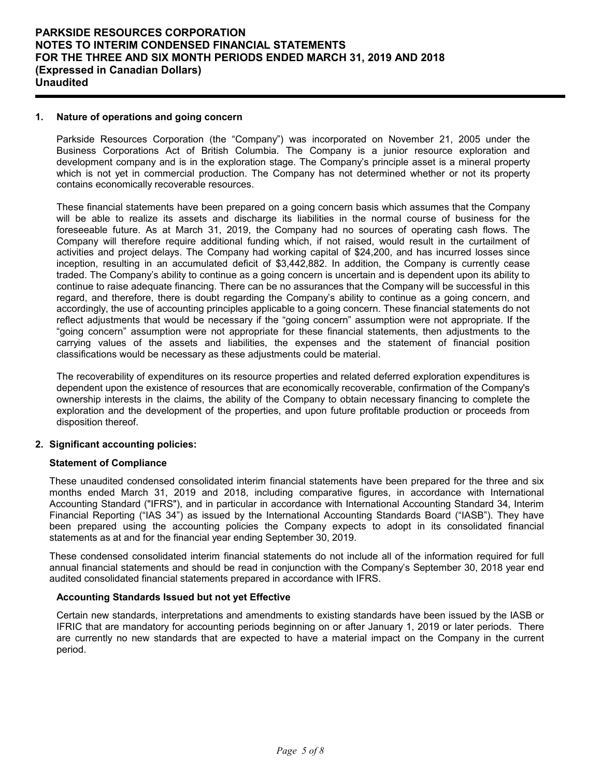## **1. Nature of operations and going concern**

Parkside Resources Corporation (the "Company") was incorporated on November 21, 2005 under the Business Corporations Act of British Columbia. The Company is a junior resource exploration and development company and is in the exploration stage. The Company's principle asset is a mineral property which is not yet in commercial production. The Company has not determined whether or not its property contains economically recoverable resources.

These financial statements have been prepared on a going concern basis which assumes that the Company will be able to realize its assets and discharge its liabilities in the normal course of business for the foreseeable future. As at March 31, 2019, the Company had no sources of operating cash flows. The Company will therefore require additional funding which, if not raised, would result in the curtailment of activities and project delays. The Company had working capital of \$24,200, and has incurred losses since inception, resulting in an accumulated deficit of \$3,442,882. In addition, the Company is currently cease traded. The Company's ability to continue as a going concern is uncertain and is dependent upon its ability to continue to raise adequate financing. There can be no assurances that the Company will be successful in this regard, and therefore, there is doubt regarding the Company's ability to continue as a going concern, and accordingly, the use of accounting principles applicable to a going concern. These financial statements do not reflect adjustments that would be necessary if the "going concern" assumption were not appropriate. If the "going concern" assumption were not appropriate for these financial statements, then adjustments to the carrying values of the assets and liabilities, the expenses and the statement of financial position classifications would be necessary as these adjustments could be material.

The recoverability of expenditures on its resource properties and related deferred exploration expenditures is dependent upon the existence of resources that are economically recoverable, confirmation of the Company's ownership interests in the claims, the ability of the Company to obtain necessary financing to complete the exploration and the development of the properties, and upon future profitable production or proceeds from disposition thereof.

## **2. Significant accounting policies:**

#### **Statement of Compliance**

These unaudited condensed consolidated interim financial statements have been prepared for the three and six months ended March 31, 2019 and 2018, including comparative figures, in accordance with International Accounting Standard ("IFRS"), and in particular in accordance with International Accounting Standard 34, Interim Financial Reporting ("IAS 34") as issued by the International Accounting Standards Board ("IASB"). They have been prepared using the accounting policies the Company expects to adopt in its consolidated financial statements as at and for the financial year ending September 30, 2019.

These condensed consolidated interim financial statements do not include all of the information required for full annual financial statements and should be read in conjunction with the Company's September 30, 2018 year end audited consolidated financial statements prepared in accordance with IFRS.

## **Accounting Standards Issued but not yet Effective**

Certain new standards, interpretations and amendments to existing standards have been issued by the IASB or IFRIC that are mandatory for accounting periods beginning on or after January 1, 2019 or later periods. There are currently no new standards that are expected to have a material impact on the Company in the current period.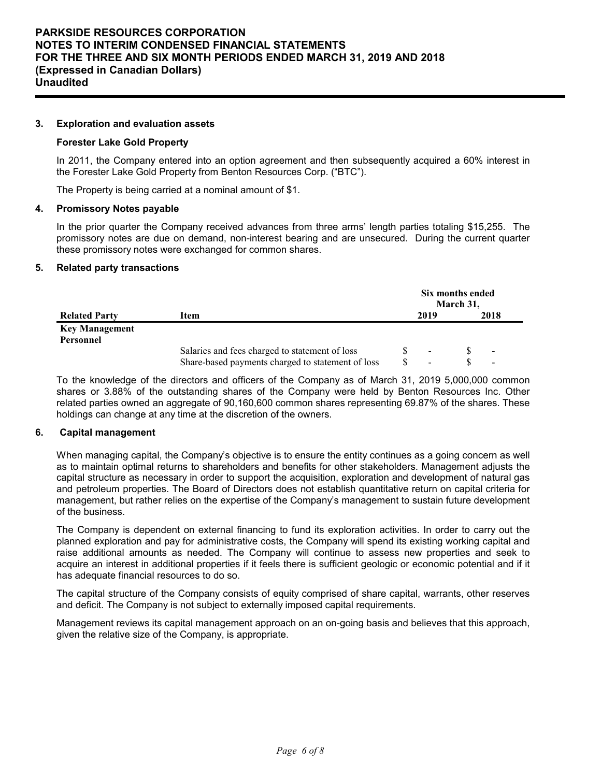#### **3. Exploration and evaluation assets**

#### **Forester Lake Gold Property**

In 2011, the Company entered into an option agreement and then subsequently acquired a 60% interest in the Forester Lake Gold Property from Benton Resources Corp. ("BTC").

The Property is being carried at a nominal amount of \$1.

#### **4. Promissory Notes payable**

In the prior quarter the Company received advances from three arms' length parties totaling \$15,255. The promissory notes are due on demand, non-interest bearing and are unsecured. During the current quarter these promissory notes were exchanged for common shares.

#### **5. Related party transactions**

|                       | Six months ended<br>March 31,                     |  |      |  |                          |  |
|-----------------------|---------------------------------------------------|--|------|--|--------------------------|--|
| <b>Related Party</b>  | Item                                              |  | 2019 |  | 2018                     |  |
| <b>Key Management</b> |                                                   |  |      |  |                          |  |
| Personnel             |                                                   |  |      |  |                          |  |
|                       | Salaries and fees charged to statement of loss    |  |      |  | $\blacksquare$           |  |
|                       | Share-based payments charged to statement of loss |  |      |  | $\overline{\phantom{a}}$ |  |

To the knowledge of the directors and officers of the Company as of March 31, 2019 5,000,000 common shares or 3.88% of the outstanding shares of the Company were held by Benton Resources Inc. Other related parties owned an aggregate of 90,160,600 common shares representing 69.87% of the shares. These holdings can change at any time at the discretion of the owners.

#### **6. Capital management**

When managing capital, the Company's objective is to ensure the entity continues as a going concern as well as to maintain optimal returns to shareholders and benefits for other stakeholders. Management adjusts the capital structure as necessary in order to support the acquisition, exploration and development of natural gas and petroleum properties. The Board of Directors does not establish quantitative return on capital criteria for management, but rather relies on the expertise of the Company's management to sustain future development of the business.

The Company is dependent on external financing to fund its exploration activities. In order to carry out the planned exploration and pay for administrative costs, the Company will spend its existing working capital and raise additional amounts as needed. The Company will continue to assess new properties and seek to acquire an interest in additional properties if it feels there is sufficient geologic or economic potential and if it has adequate financial resources to do so.

The capital structure of the Company consists of equity comprised of share capital, warrants, other reserves and deficit. The Company is not subject to externally imposed capital requirements.

Management reviews its capital management approach on an on-going basis and believes that this approach, given the relative size of the Company, is appropriate.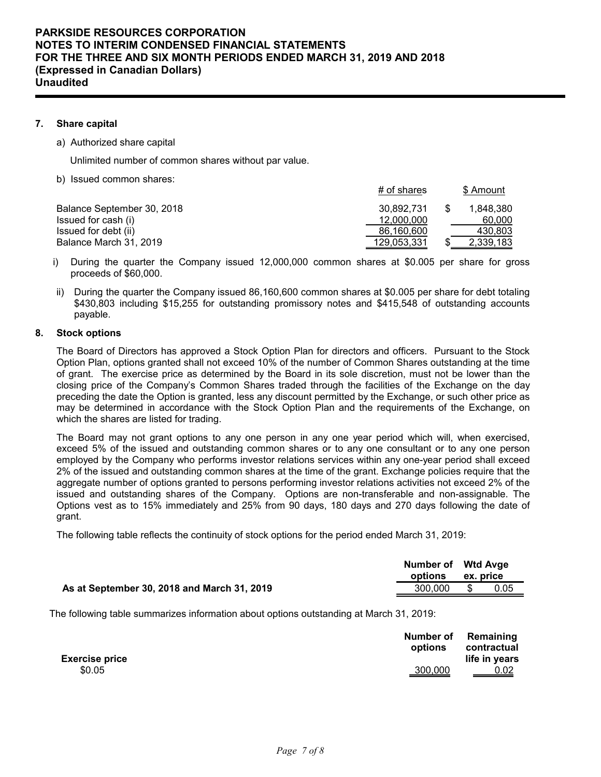## **7. Share capital**

a) Authorized share capital

Unlimited number of common shares without par value.

b) Issued common shares:

|                            | $#$ of shares | \$ Amount |
|----------------------------|---------------|-----------|
| Balance September 30, 2018 | 30.892.731    | 1.848.380 |
| Issued for cash (i)        | 12,000,000    | 60,000    |
| Issued for debt (ii)       | 86,160,600    | 430,803   |
| Balance March 31, 2019     | 129,053,331   | 2,339,183 |

- i) During the quarter the Company issued 12,000,000 common shares at \$0.005 per share for gross proceeds of \$60,000.
- ii) During the quarter the Company issued 86,160,600 common shares at \$0.005 per share for debt totaling \$430,803 including \$15,255 for outstanding promissory notes and \$415,548 of outstanding accounts payable.

## **8. Stock options**

The Board of Directors has approved a Stock Option Plan for directors and officers. Pursuant to the Stock Option Plan, options granted shall not exceed 10% of the number of Common Shares outstanding at the time of grant. The exercise price as determined by the Board in its sole discretion, must not be lower than the closing price of the Company's Common Shares traded through the facilities of the Exchange on the day preceding the date the Option is granted, less any discount permitted by the Exchange, or such other price as may be determined in accordance with the Stock Option Plan and the requirements of the Exchange, on which the shares are listed for trading.

The Board may not grant options to any one person in any one year period which will, when exercised, exceed 5% of the issued and outstanding common shares or to any one consultant or to any one person employed by the Company who performs investor relations services within any one-year period shall exceed 2% of the issued and outstanding common shares at the time of the grant. Exchange policies require that the aggregate number of options granted to persons performing investor relations activities not exceed 2% of the issued and outstanding shares of the Company. Options are non-transferable and non-assignable. The Options vest as to 15% immediately and 25% from 90 days, 180 days and 270 days following the date of grant.

The following table reflects the continuity of stock options for the period ended March 31, 2019:

|                                             | Number of Wtd Avge<br>options | ex. price |  |
|---------------------------------------------|-------------------------------|-----------|--|
| As at September 30, 2018 and March 31, 2019 | 300.000                       | 0.05      |  |

The following table summarizes information about options outstanding at March 31, 2019:

| <b>Exercise price</b> | options        | Number of Remaining<br>contractual<br>life in years |
|-----------------------|----------------|-----------------------------------------------------|
| \$0.05                | <u>300,000</u> | $rac{0.02}{1}$                                      |